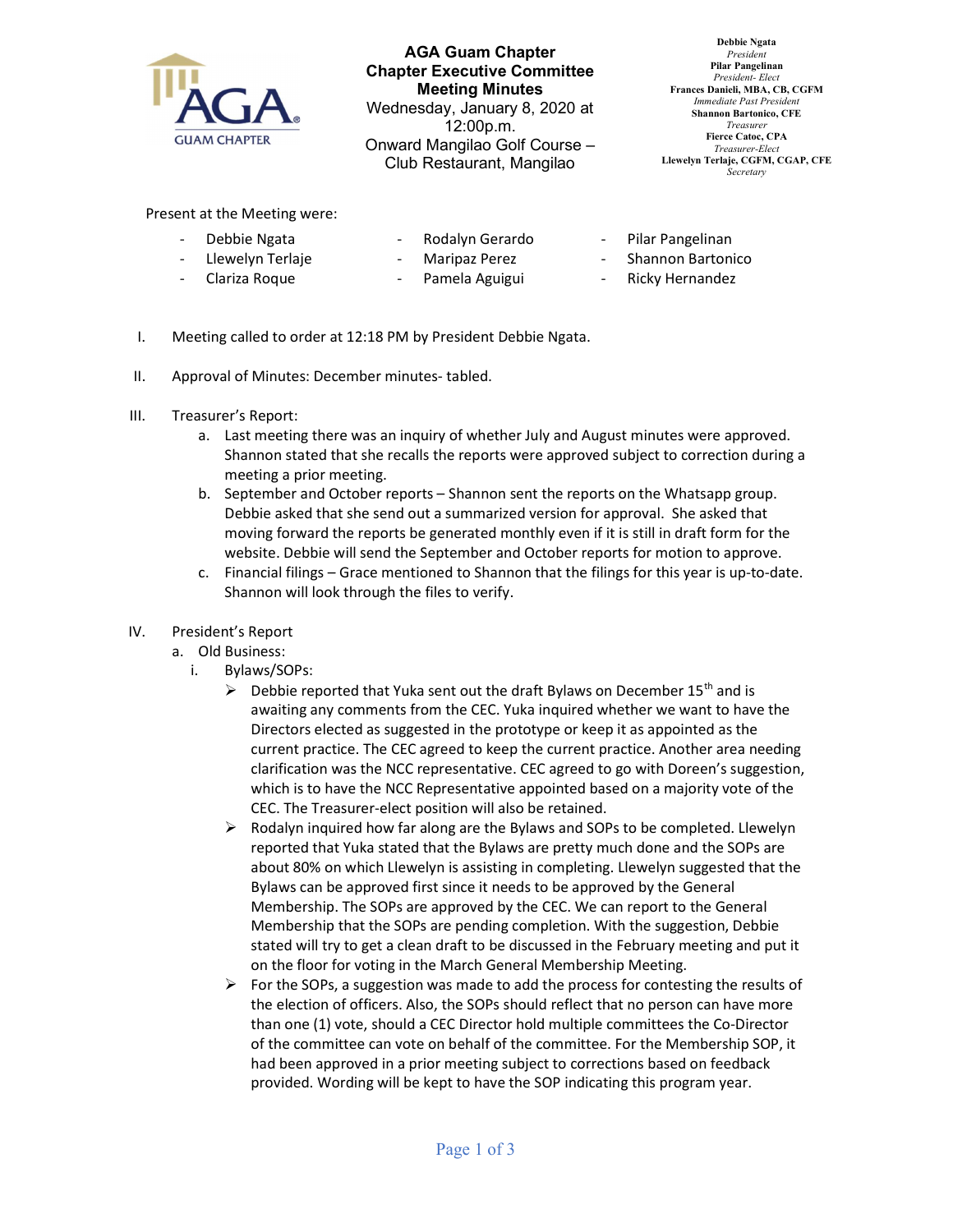

AGA Guam Chapter Chapter Executive Committee Meeting Minutes Wednesday, January 8, 2020 at 12:00p.m. Onward Mangilao Golf Course – Club Restaurant, Mangilao

Debbie Ngata President Pilar Pangelinan President- Elect Frances Danieli, MBA, CB, CGFM Immediate Past Presiden Shannon Bartonico, CFE Treasurer Fierce Catoc, CPA Treasurer-Elect Llewelyn Terlaje, CGFM, CGAP, CFE **Secretary** 

Present at the Meeting were:

Debbie Ngata Llewelyn Terlaje

- Clariza Roque

- Rodalyn Gerardo
- Maripaz Perez Pamela Aguigui
- Pilar Pangelinan
- Shannon Bartonico
- Ricky Hernandez
- I. Meeting called to order at 12:18 PM by President Debbie Ngata.
- II. Approval of Minutes: December minutes- tabled.
- III. Treasurer's Report:
	- a. Last meeting there was an inquiry of whether July and August minutes were approved. Shannon stated that she recalls the reports were approved subject to correction during a meeting a prior meeting.
	- b. September and October reports Shannon sent the reports on the Whatsapp group. Debbie asked that she send out a summarized version for approval. She asked that moving forward the reports be generated monthly even if it is still in draft form for the website. Debbie will send the September and October reports for motion to approve.
	- c. Financial filings Grace mentioned to Shannon that the filings for this year is up-to-date. Shannon will look through the files to verify.
- IV. President's Report
	- a. Old Business:
		- i. Bylaws/SOPs:
			- $\triangleright$  Debbie reported that Yuka sent out the draft Bylaws on December 15<sup>th</sup> and is awaiting any comments from the CEC. Yuka inquired whether we want to have the Directors elected as suggested in the prototype or keep it as appointed as the current practice. The CEC agreed to keep the current practice. Another area needing clarification was the NCC representative. CEC agreed to go with Doreen's suggestion, which is to have the NCC Representative appointed based on a majority vote of the CEC. The Treasurer-elect position will also be retained.
			- $\triangleright$  Rodalyn inquired how far along are the Bylaws and SOPs to be completed. Llewelyn reported that Yuka stated that the Bylaws are pretty much done and the SOPs are about 80% on which Llewelyn is assisting in completing. Llewelyn suggested that the Bylaws can be approved first since it needs to be approved by the General Membership. The SOPs are approved by the CEC. We can report to the General Membership that the SOPs are pending completion. With the suggestion, Debbie stated will try to get a clean draft to be discussed in the February meeting and put it on the floor for voting in the March General Membership Meeting.
			- $\triangleright$  For the SOPs, a suggestion was made to add the process for contesting the results of the election of officers. Also, the SOPs should reflect that no person can have more than one (1) vote, should a CEC Director hold multiple committees the Co-Director of the committee can vote on behalf of the committee. For the Membership SOP, it had been approved in a prior meeting subject to corrections based on feedback provided. Wording will be kept to have the SOP indicating this program year.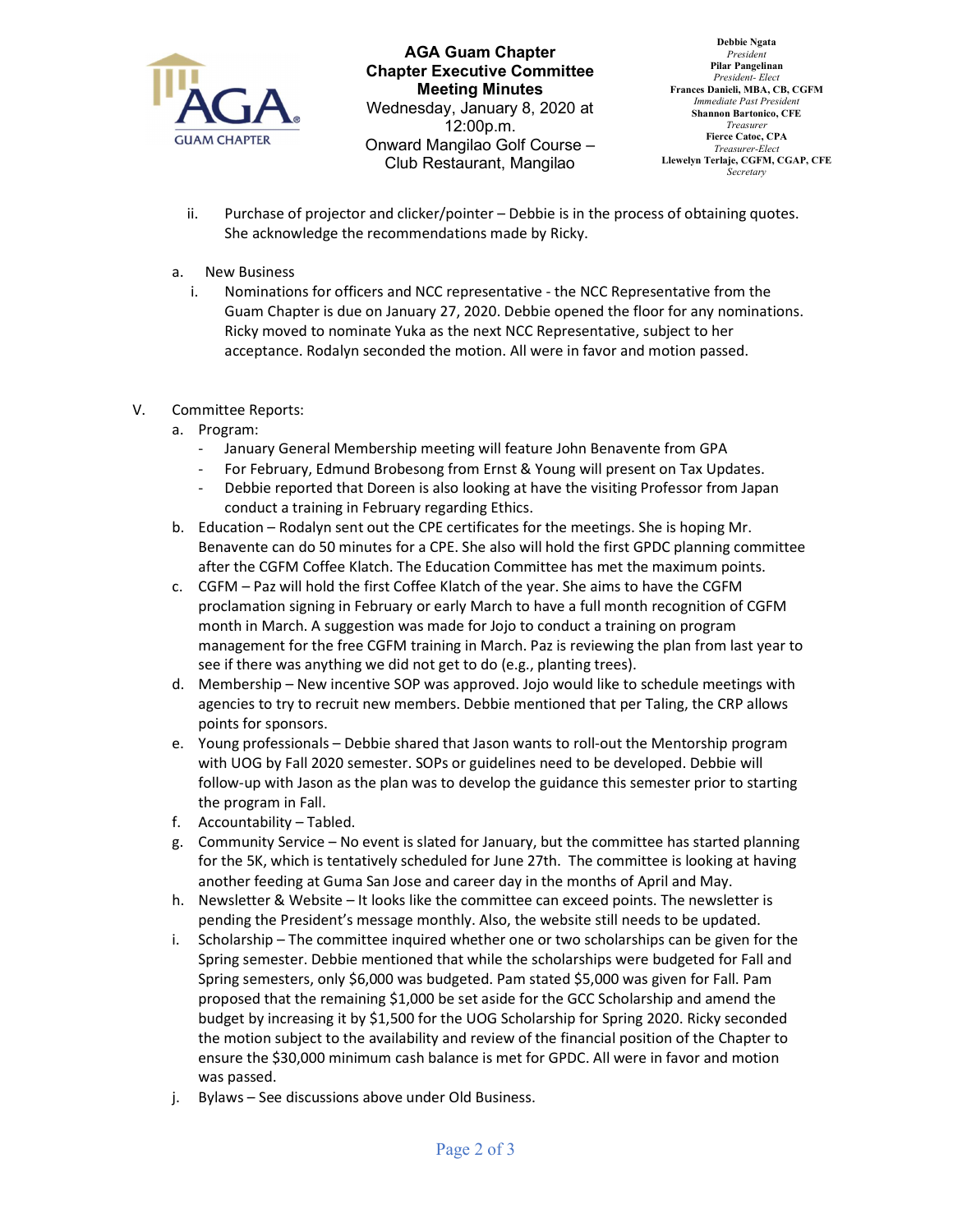

AGA Guam Chapter Chapter Executive Committee Meeting Minutes Wednesday, January 8, 2020 at 12:00p.m. Onward Mangilao Golf Course – Club Restaurant, Mangilao

Debbie Ngata President Pilar Pangelinan President- Elect Frances Danieli, MBA, CB, CGFM Immediate Past Presiden Shannon Bartonico, CFE Treasurer Fierce Catoc, CPA Treasurer-Elect Llewelyn Terlaje, CGFM, CGAP, CFE **Secretary** 

- ii. Purchase of projector and clicker/pointer Debbie is in the process of obtaining quotes. She acknowledge the recommendations made by Ricky.
- a. New Business
	- i. Nominations for officers and NCC representative the NCC Representative from the Guam Chapter is due on January 27, 2020. Debbie opened the floor for any nominations. Ricky moved to nominate Yuka as the next NCC Representative, subject to her acceptance. Rodalyn seconded the motion. All were in favor and motion passed.
- V. Committee Reports:
	- a. Program:
		- January General Membership meeting will feature John Benavente from GPA
		- For February, Edmund Brobesong from Ernst & Young will present on Tax Updates.
		- Debbie reported that Doreen is also looking at have the visiting Professor from Japan conduct a training in February regarding Ethics.
	- b. Education Rodalyn sent out the CPE certificates for the meetings. She is hoping Mr. Benavente can do 50 minutes for a CPE. She also will hold the first GPDC planning committee after the CGFM Coffee Klatch. The Education Committee has met the maximum points.
	- c. CGFM Paz will hold the first Coffee Klatch of the year. She aims to have the CGFM proclamation signing in February or early March to have a full month recognition of CGFM month in March. A suggestion was made for Jojo to conduct a training on program management for the free CGFM training in March. Paz is reviewing the plan from last year to see if there was anything we did not get to do (e.g., planting trees).
	- d. Membership New incentive SOP was approved. Jojo would like to schedule meetings with agencies to try to recruit new members. Debbie mentioned that per Taling, the CRP allows points for sponsors.
	- e. Young professionals Debbie shared that Jason wants to roll-out the Mentorship program with UOG by Fall 2020 semester. SOPs or guidelines need to be developed. Debbie will follow-up with Jason as the plan was to develop the guidance this semester prior to starting the program in Fall.
	- f. Accountability Tabled.
	- g. Community Service No event is slated for January, but the committee has started planning for the 5K, which is tentatively scheduled for June 27th. The committee is looking at having another feeding at Guma San Jose and career day in the months of April and May.
	- h. Newsletter & Website It looks like the committee can exceed points. The newsletter is pending the President's message monthly. Also, the website still needs to be updated.
	- i. Scholarship The committee inquired whether one or two scholarships can be given for the Spring semester. Debbie mentioned that while the scholarships were budgeted for Fall and Spring semesters, only \$6,000 was budgeted. Pam stated \$5,000 was given for Fall. Pam proposed that the remaining \$1,000 be set aside for the GCC Scholarship and amend the budget by increasing it by \$1,500 for the UOG Scholarship for Spring 2020. Ricky seconded the motion subject to the availability and review of the financial position of the Chapter to ensure the \$30,000 minimum cash balance is met for GPDC. All were in favor and motion was passed.
	- j. Bylaws See discussions above under Old Business.